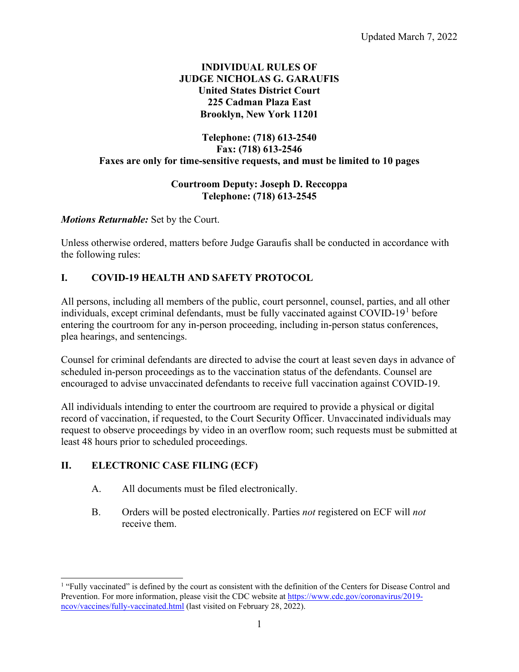## **INDIVIDUAL RULES OF JUDGE NICHOLAS G. GARAUFIS United States District Court 225 Cadman Plaza East Brooklyn, New York 11201**

# **Telephone: (718) 613-2540 Fax: (718) 613-2546 Faxes are only for time-sensitive requests, and must be limited to 10 pages**

### **Courtroom Deputy: Joseph D. Reccoppa Telephone: (718) 613-2545**

## *Motions Returnable:* Set by the Court.

Unless otherwise ordered, matters before Judge Garaufis shall be conducted in accordance with the following rules:

# **I. COVID-19 HEALTH AND SAFETY PROTOCOL**

All persons, including all members of the public, court personnel, counsel, parties, and all other individuals, except criminal defendants, must be fully vaccinated against  $\text{COVID-19}^1$  $\text{COVID-19}^1$  $\text{COVID-19}^1$  before entering the courtroom for any in-person proceeding, including in-person status conferences, plea hearings, and sentencings.

Counsel for criminal defendants are directed to advise the court at least seven days in advance of scheduled in-person proceedings as to the vaccination status of the defendants. Counsel are encouraged to advise unvaccinated defendants to receive full vaccination against COVID-19.

All individuals intending to enter the courtroom are required to provide a physical or digital record of vaccination, if requested, to the Court Security Officer. Unvaccinated individuals may request to observe proceedings by video in an overflow room; such requests must be submitted at least 48 hours prior to scheduled proceedings.

## **II. ELECTRONIC CASE FILING (ECF)**

- A. All documents must be filed electronically.
- B. Orders will be posted electronically. Parties *not* registered on ECF will *not* receive them.

<span id="page-0-0"></span><sup>&</sup>lt;sup>1</sup> "Fully vaccinated" is defined by the court as consistent with the definition of the Centers for Disease Control and Prevention. For more information, please visit the CDC website a[t https://www.cdc.gov/coronavirus/2019](https://www.cdc.gov/coronavirus/2019-ncov/vaccines/fully-vaccinated.html) [ncov/vaccines/fully-vaccinated.html](https://www.cdc.gov/coronavirus/2019-ncov/vaccines/fully-vaccinated.html) (last visited on February 28, 2022).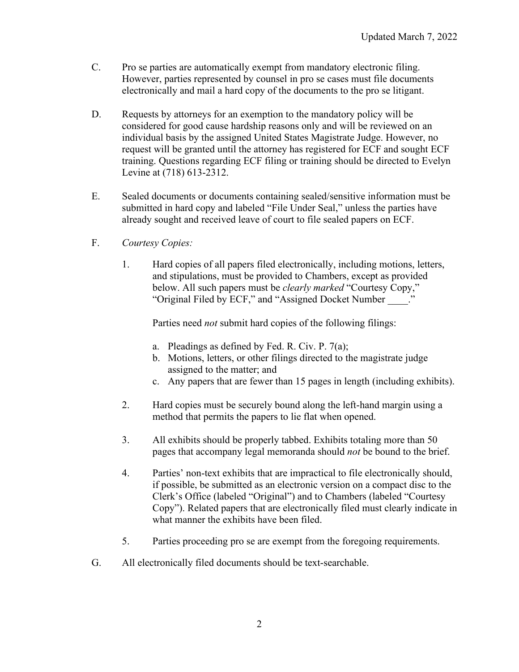- C. Pro se parties are automatically exempt from mandatory electronic filing. However, parties represented by counsel in pro se cases must file documents electronically and mail a hard copy of the documents to the pro se litigant.
- D. Requests by attorneys for an exemption to the mandatory policy will be considered for good cause hardship reasons only and will be reviewed on an individual basis by the assigned United States Magistrate Judge. However, no request will be granted until the attorney has registered for ECF and sought ECF training. Questions regarding ECF filing or training should be directed to Evelyn Levine at (718) 613-2312.
- E. Sealed documents or documents containing sealed/sensitive information must be submitted in hard copy and labeled "File Under Seal," unless the parties have already sought and received leave of court to file sealed papers on ECF.
- F. *Courtesy Copies:*
	- 1. Hard copies of all papers filed electronically, including motions, letters, and stipulations, must be provided to Chambers, except as provided below. All such papers must be *clearly marked* "Courtesy Copy," "Original Filed by ECF," and "Assigned Docket Number \_\_\_\_."

Parties need *not* submit hard copies of the following filings:

- a. Pleadings as defined by Fed. R. Civ. P. 7(a);
- b. Motions, letters, or other filings directed to the magistrate judge assigned to the matter; and
- c. Any papers that are fewer than 15 pages in length (including exhibits).
- 2. Hard copies must be securely bound along the left-hand margin using a method that permits the papers to lie flat when opened.
- 3. All exhibits should be properly tabbed. Exhibits totaling more than 50 pages that accompany legal memoranda should *not* be bound to the brief.
- 4. Parties' non-text exhibits that are impractical to file electronically should, if possible, be submitted as an electronic version on a compact disc to the Clerk's Office (labeled "Original") and to Chambers (labeled "Courtesy Copy"). Related papers that are electronically filed must clearly indicate in what manner the exhibits have been filed.
- 5. Parties proceeding pro se are exempt from the foregoing requirements.
- G. All electronically filed documents should be text-searchable.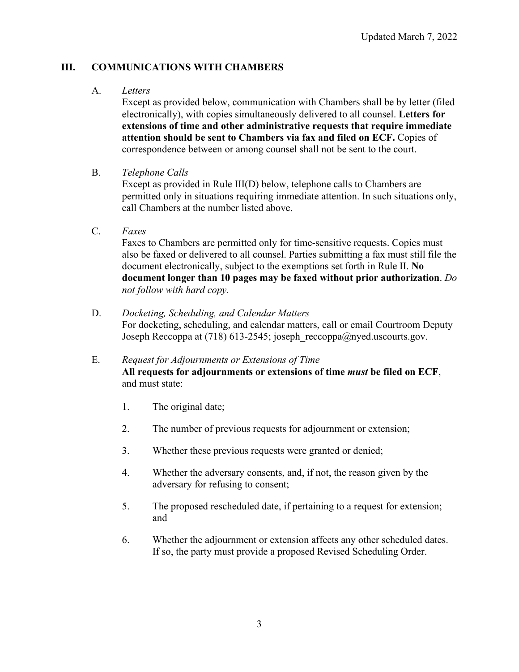# **III. COMMUNICATIONS WITH CHAMBERS**

### A. *Letters*

Except as provided below, communication with Chambers shall be by letter (filed electronically), with copies simultaneously delivered to all counsel. **Letters for extensions of time and other administrative requests that require immediate attention should be sent to Chambers via fax and filed on ECF.** Copies of correspondence between or among counsel shall not be sent to the court.

B. *Telephone Calls*

Except as provided in Rule III(D) below, telephone calls to Chambers are permitted only in situations requiring immediate attention. In such situations only, call Chambers at the number listed above.

C. *Faxes*

Faxes to Chambers are permitted only for time-sensitive requests. Copies must also be faxed or delivered to all counsel. Parties submitting a fax must still file the document electronically, subject to the exemptions set forth in Rule II. **No document longer than 10 pages may be faxed without prior authorization**. *Do not follow with hard copy.*

- D. *Docketing, Scheduling, and Calendar Matters* For docketing, scheduling, and calendar matters, call or email Courtroom Deputy Joseph Reccoppa at (718) 613-2545; joseph\_reccoppa@nyed.uscourts.gov.
- E. *Request for Adjournments or Extensions of Time* **All requests for adjournments or extensions of time** *must* **be filed on ECF**, and must state:
	- 1. The original date;
	- 2. The number of previous requests for adjournment or extension;
	- 3. Whether these previous requests were granted or denied;
	- 4. Whether the adversary consents, and, if not, the reason given by the adversary for refusing to consent;
	- 5. The proposed rescheduled date, if pertaining to a request for extension; and
	- 6. Whether the adjournment or extension affects any other scheduled dates. If so, the party must provide a proposed Revised Scheduling Order.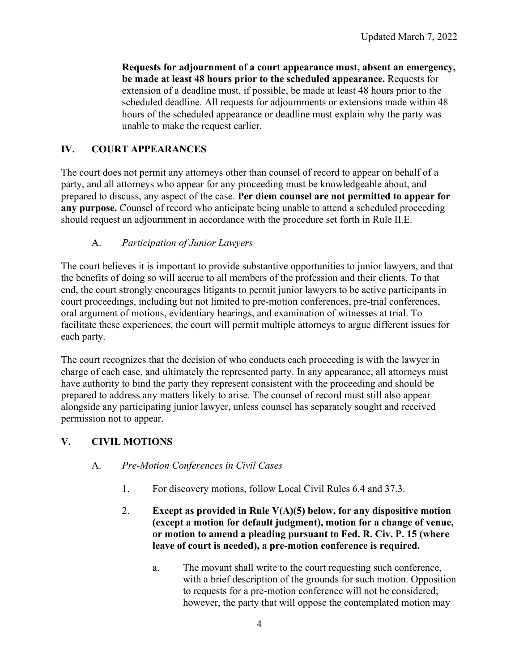**Requests for adjournment of a court appearance must, absent an emergency, be made at least 48 hours prior to the scheduled appearance.** Requests for extension of a deadline must, if possible, be made at least 48 hours prior to the scheduled deadline. All requests for adjournments or extensions made within 48 hours of the scheduled appearance or deadline must explain why the party was unable to make the request earlier.

# **IV. COURT APPEARANCES**

The court does not permit any attorneys other than counsel of record to appear on behalf of a party, and all attorneys who appear for any proceeding must be knowledgeable about, and prepared to discuss, any aspect of the case. **Per diem counsel are not permitted to appear for any purpose.** Counsel of record who anticipate being unable to attend a scheduled proceeding should request an adjournment in accordance with the procedure set forth in Rule II.E.

## A. *Participation of Junior Lawyers*

The court believes it is important to provide substantive opportunities to junior lawyers, and that the benefits of doing so will accrue to all members of the profession and their clients. To that end, the court strongly encourages litigants to permit junior lawyers to be active participants in court proceedings, including but not limited to pre-motion conferences, pre-trial conferences, oral argument of motions, evidentiary hearings, and examination of witnesses at trial. To facilitate these experiences, the court will permit multiple attorneys to argue different issues for each party.

The court recognizes that the decision of who conducts each proceeding is with the lawyer in charge of each case, and ultimately the represented party. In any appearance, all attorneys must have authority to bind the party they represent consistent with the proceeding and should be prepared to address any matters likely to arise. The counsel of record must still also appear alongside any participating junior lawyer, unless counsel has separately sought and received permission not to appear.

## **V. CIVIL MOTIONS**

## A. *Pre-Motion Conferences in Civil Cases*

- 1. For discovery motions, follow Local Civil Rules 6.4 and 37.3.
- 2. **Except as provided in Rule V(A)(5) below, for any dispositive motion (except a motion for default judgment), motion for a change of venue, or motion to amend a pleading pursuant to Fed. R. Civ. P. 15 (where leave of court is needed), a pre-motion conference is required.** 
	- a. The movant shall write to the court requesting such conference, with a brief description of the grounds for such motion. Opposition to requests for a pre-motion conference will not be considered; however, the party that will oppose the contemplated motion may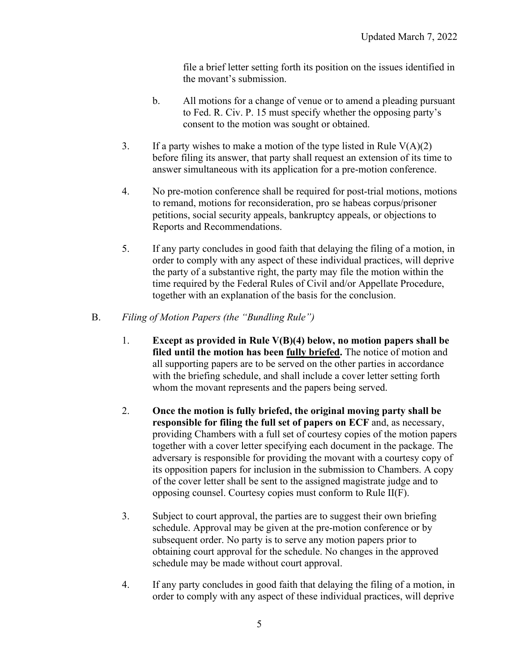file a brief letter setting forth its position on the issues identified in the movant's submission.

- b. All motions for a change of venue or to amend a pleading pursuant to Fed. R. Civ. P. 15 must specify whether the opposing party's consent to the motion was sought or obtained.
- 3. If a party wishes to make a motion of the type listed in Rule  $V(A)(2)$ before filing its answer, that party shall request an extension of its time to answer simultaneous with its application for a pre-motion conference.
- 4. No pre-motion conference shall be required for post-trial motions, motions to remand, motions for reconsideration, pro se habeas corpus/prisoner petitions, social security appeals, bankruptcy appeals, or objections to Reports and Recommendations.
- 5. If any party concludes in good faith that delaying the filing of a motion, in order to comply with any aspect of these individual practices, will deprive the party of a substantive right, the party may file the motion within the time required by the Federal Rules of Civil and/or Appellate Procedure, together with an explanation of the basis for the conclusion.
- B. *Filing of Motion Papers (the "Bundling Rule")*
	- 1. **Except as provided in Rule V(B)(4) below, no motion papers shall be filed until the motion has been fully briefed.** The notice of motion and all supporting papers are to be served on the other parties in accordance with the briefing schedule, and shall include a cover letter setting forth whom the movant represents and the papers being served.
	- 2. **Once the motion is fully briefed, the original moving party shall be responsible for filing the full set of papers on ECF** and, as necessary, providing Chambers with a full set of courtesy copies of the motion papers together with a cover letter specifying each document in the package. The adversary is responsible for providing the movant with a courtesy copy of its opposition papers for inclusion in the submission to Chambers. A copy of the cover letter shall be sent to the assigned magistrate judge and to opposing counsel. Courtesy copies must conform to Rule II(F).
	- 3. Subject to court approval, the parties are to suggest their own briefing schedule. Approval may be given at the pre-motion conference or by subsequent order. No party is to serve any motion papers prior to obtaining court approval for the schedule. No changes in the approved schedule may be made without court approval.
	- 4. If any party concludes in good faith that delaying the filing of a motion, in order to comply with any aspect of these individual practices, will deprive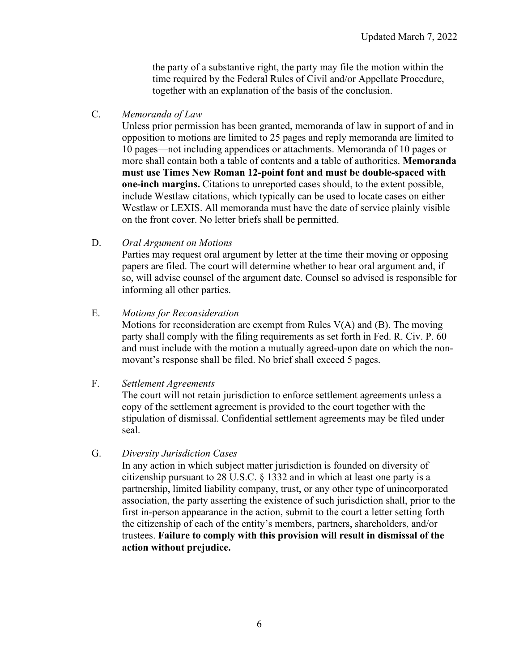the party of a substantive right, the party may file the motion within the time required by the Federal Rules of Civil and/or Appellate Procedure, together with an explanation of the basis of the conclusion.

C. *Memoranda of Law* 

Unless prior permission has been granted, memoranda of law in support of and in opposition to motions are limited to 25 pages and reply memoranda are limited to 10 pages—not including appendices or attachments. Memoranda of 10 pages or more shall contain both a table of contents and a table of authorities. **Memoranda must use Times New Roman 12-point font and must be double-spaced with one-inch margins.** Citations to unreported cases should, to the extent possible, include Westlaw citations, which typically can be used to locate cases on either Westlaw or LEXIS. All memoranda must have the date of service plainly visible on the front cover. No letter briefs shall be permitted.

D. *Oral Argument on Motions*

Parties may request oral argument by letter at the time their moving or opposing papers are filed. The court will determine whether to hear oral argument and, if so, will advise counsel of the argument date. Counsel so advised is responsible for informing all other parties.

### E. *Motions for Reconsideration*

Motions for reconsideration are exempt from Rules V(A) and (B). The moving party shall comply with the filing requirements as set forth in Fed. R. Civ. P. 60 and must include with the motion a mutually agreed-upon date on which the nonmovant's response shall be filed. No brief shall exceed 5 pages.

### F. *Settlement Agreements*

The court will not retain jurisdiction to enforce settlement agreements unless a copy of the settlement agreement is provided to the court together with the stipulation of dismissal. Confidential settlement agreements may be filed under seal.

### G. *Diversity Jurisdiction Cases*

In any action in which subject matter jurisdiction is founded on diversity of citizenship pursuant to 28 U.S.C. § 1332 and in which at least one party is a partnership, limited liability company, trust, or any other type of unincorporated association, the party asserting the existence of such jurisdiction shall, prior to the first in-person appearance in the action, submit to the court a letter setting forth the citizenship of each of the entity's members, partners, shareholders, and/or trustees. **Failure to comply with this provision will result in dismissal of the action without prejudice.**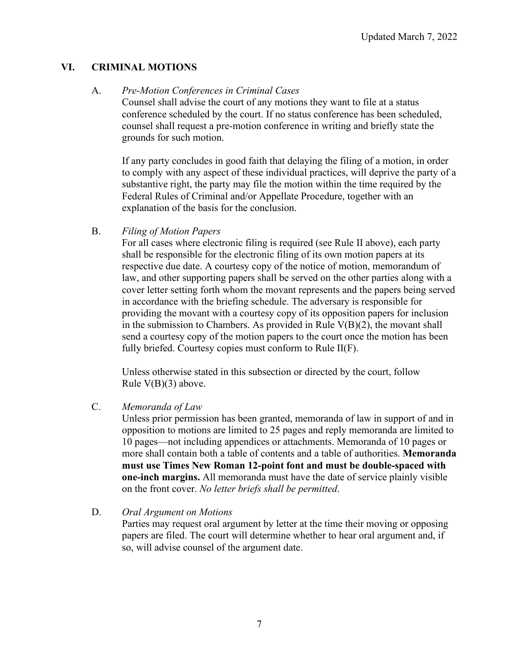## **VI. CRIMINAL MOTIONS**

### A. *Pre-Motion Conferences in Criminal Cases*

Counsel shall advise the court of any motions they want to file at a status conference scheduled by the court. If no status conference has been scheduled, counsel shall request a pre-motion conference in writing and briefly state the grounds for such motion.

If any party concludes in good faith that delaying the filing of a motion, in order to comply with any aspect of these individual practices, will deprive the party of a substantive right, the party may file the motion within the time required by the Federal Rules of Criminal and/or Appellate Procedure, together with an explanation of the basis for the conclusion.

B. *Filing of Motion Papers*

For all cases where electronic filing is required (see Rule II above), each party shall be responsible for the electronic filing of its own motion papers at its respective due date. A courtesy copy of the notice of motion, memorandum of law, and other supporting papers shall be served on the other parties along with a cover letter setting forth whom the movant represents and the papers being served in accordance with the briefing schedule. The adversary is responsible for providing the movant with a courtesy copy of its opposition papers for inclusion in the submission to Chambers. As provided in Rule  $V(B)(2)$ , the movant shall send a courtesy copy of the motion papers to the court once the motion has been fully briefed. Courtesy copies must conform to Rule II(F).

Unless otherwise stated in this subsection or directed by the court, follow Rule V(B)(3) above.

C. *Memoranda of Law* 

Unless prior permission has been granted, memoranda of law in support of and in opposition to motions are limited to 25 pages and reply memoranda are limited to 10 pages—not including appendices or attachments. Memoranda of 10 pages or more shall contain both a table of contents and a table of authorities. **Memoranda must use Times New Roman 12-point font and must be double-spaced with one-inch margins.** All memoranda must have the date of service plainly visible on the front cover. *No letter briefs shall be permitted*.

D. *Oral Argument on Motions*

Parties may request oral argument by letter at the time their moving or opposing papers are filed. The court will determine whether to hear oral argument and, if so, will advise counsel of the argument date.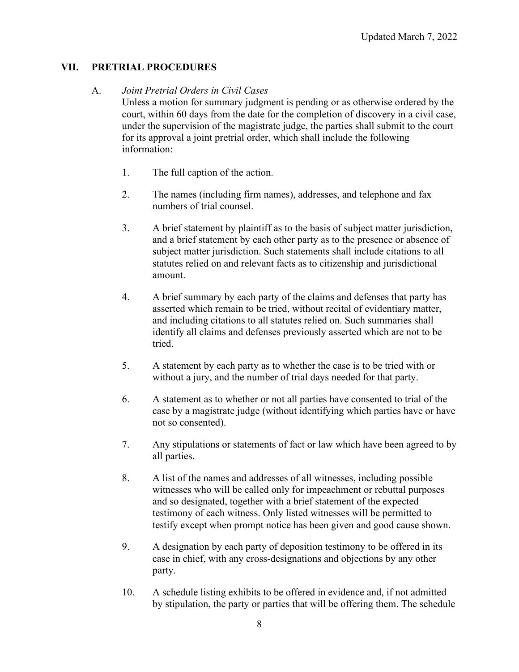## **VII. PRETRIAL PROCEDURES**

### A. *Joint Pretrial Orders in Civil Cases*

Unless a motion for summary judgment is pending or as otherwise ordered by the court, within 60 days from the date for the completion of discovery in a civil case, under the supervision of the magistrate judge, the parties shall submit to the court for its approval a joint pretrial order, which shall include the following information:

- 1. The full caption of the action.
- 2. The names (including firm names), addresses, and telephone and fax numbers of trial counsel.
- 3. A brief statement by plaintiff as to the basis of subject matter jurisdiction, and a brief statement by each other party as to the presence or absence of subject matter jurisdiction. Such statements shall include citations to all statutes relied on and relevant facts as to citizenship and jurisdictional amount.
- 4. A brief summary by each party of the claims and defenses that party has asserted which remain to be tried, without recital of evidentiary matter, and including citations to all statutes relied on. Such summaries shall identify all claims and defenses previously asserted which are not to be tried.
- 5. A statement by each party as to whether the case is to be tried with or without a jury, and the number of trial days needed for that party.
- 6. A statement as to whether or not all parties have consented to trial of the case by a magistrate judge (without identifying which parties have or have not so consented).
- 7. Any stipulations or statements of fact or law which have been agreed to by all parties.
- 8. A list of the names and addresses of all witnesses, including possible witnesses who will be called only for impeachment or rebuttal purposes and so designated, together with a brief statement of the expected testimony of each witness. Only listed witnesses will be permitted to testify except when prompt notice has been given and good cause shown.
- 9. A designation by each party of deposition testimony to be offered in its case in chief, with any cross-designations and objections by any other party.
- 10. A schedule listing exhibits to be offered in evidence and, if not admitted by stipulation, the party or parties that will be offering them. The schedule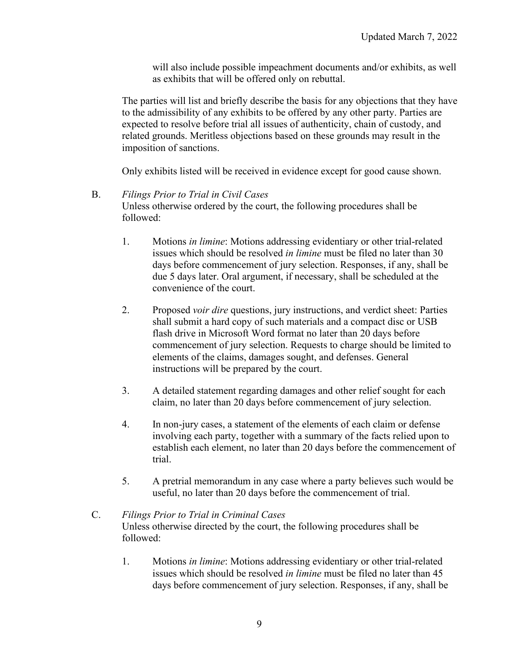will also include possible impeachment documents and/or exhibits, as well as exhibits that will be offered only on rebuttal.

The parties will list and briefly describe the basis for any objections that they have to the admissibility of any exhibits to be offered by any other party. Parties are expected to resolve before trial all issues of authenticity, chain of custody, and related grounds. Meritless objections based on these grounds may result in the imposition of sanctions.

Only exhibits listed will be received in evidence except for good cause shown.

### B. *Filings Prior to Trial in Civil Cases*

Unless otherwise ordered by the court, the following procedures shall be followed:

- 1. Motions *in limine*: Motions addressing evidentiary or other trial-related issues which should be resolved *in limine* must be filed no later than 30 days before commencement of jury selection. Responses, if any, shall be due 5 days later. Oral argument, if necessary, shall be scheduled at the convenience of the court.
- 2. Proposed *voir dire* questions, jury instructions, and verdict sheet: Parties shall submit a hard copy of such materials and a compact disc or USB flash drive in Microsoft Word format no later than 20 days before commencement of jury selection. Requests to charge should be limited to elements of the claims, damages sought, and defenses. General instructions will be prepared by the court.
- 3. A detailed statement regarding damages and other relief sought for each claim, no later than 20 days before commencement of jury selection.
- 4. In non-jury cases, a statement of the elements of each claim or defense involving each party, together with a summary of the facts relied upon to establish each element, no later than 20 days before the commencement of trial.
- 5. A pretrial memorandum in any case where a party believes such would be useful, no later than 20 days before the commencement of trial.

## C. *Filings Prior to Trial in Criminal Cases* Unless otherwise directed by the court, the following procedures shall be followed:

1. Motions *in limine*: Motions addressing evidentiary or other trial-related issues which should be resolved *in limine* must be filed no later than 45 days before commencement of jury selection. Responses, if any, shall be